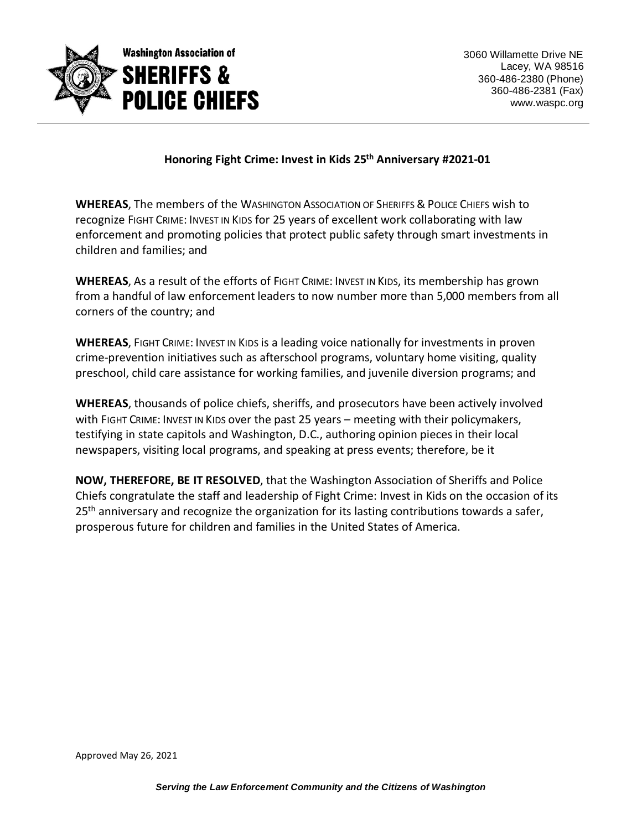

## **Honoring Fight Crime: Invest in Kids 25th Anniversary #2021-01**

**WHEREAS**, The members of the WASHINGTON ASSOCIATION OF SHERIFFS & POLICE CHIEFS wish to recognize FIGHT CRIME: INVEST IN KIDS for 25 years of excellent work collaborating with law enforcement and promoting policies that protect public safety through smart investments in children and families; and

**WHEREAS**, As a result of the efforts of FIGHT CRIME: INVEST IN KIDS, its membership has grown from a handful of law enforcement leaders to now number more than 5,000 members from all corners of the country; and

**WHEREAS**, FIGHT CRIME: INVEST IN KIDS is a leading voice nationally for investments in proven crime-prevention initiatives such as afterschool programs, voluntary home visiting, quality preschool, child care assistance for working families, and juvenile diversion programs; and

**WHEREAS**, thousands of police chiefs, sheriffs, and prosecutors have been actively involved with FIGHT CRIME: INVEST IN KIDS over the past 25 years – meeting with their policymakers, testifying in state capitols and Washington, D.C., authoring opinion pieces in their local newspapers, visiting local programs, and speaking at press events; therefore, be it

**NOW, THEREFORE, BE IT RESOLVED**, that the Washington Association of Sheriffs and Police Chiefs congratulate the staff and leadership of Fight Crime: Invest in Kids on the occasion of its  $25<sup>th</sup>$  anniversary and recognize the organization for its lasting contributions towards a safer, prosperous future for children and families in the United States of America.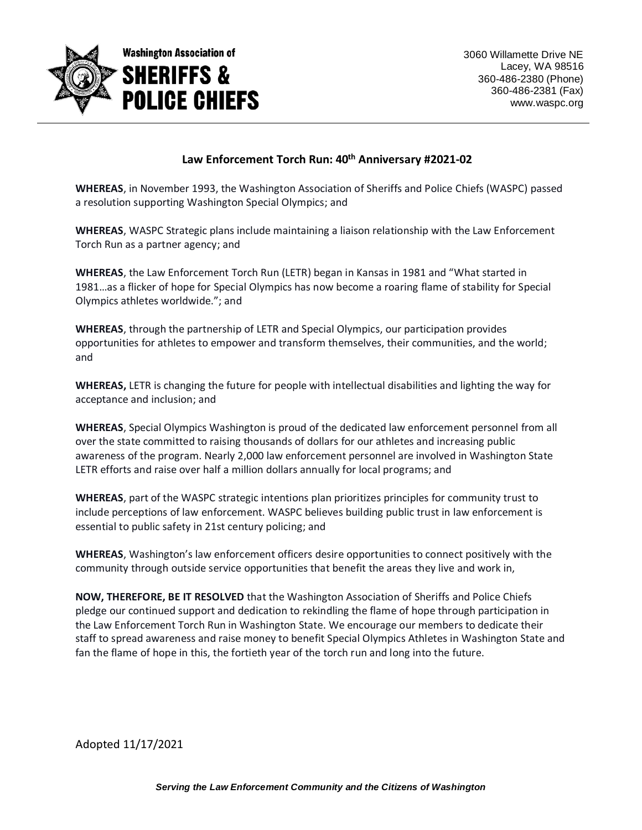

## **Law Enforcement Torch Run: 40th Anniversary #2021-02**

**WHEREAS**, in November 1993, the Washington Association of Sheriffs and Police Chiefs (WASPC) passed a resolution supporting Washington Special Olympics; and

**WHEREAS**, WASPC Strategic plans include maintaining a liaison relationship with the Law Enforcement Torch Run as a partner agency; and

**WHEREAS**, the Law Enforcement Torch Run (LETR) began in Kansas in 1981 and "What started in 1981…as a flicker of hope for Special Olympics has now become a roaring flame of stability for Special Olympics athletes worldwide."; and

**WHEREAS**, through the partnership of LETR and Special Olympics, our participation provides opportunities for athletes to empower and transform themselves, their communities, and the world; and

**WHEREAS,** LETR is changing the future for people with intellectual disabilities and lighting the way for acceptance and inclusion; and

**WHEREAS**, Special Olympics Washington is proud of the dedicated law enforcement personnel from all over the state committed to raising thousands of dollars for our athletes and increasing public awareness of the program. Nearly 2,000 law enforcement personnel are involved in Washington State LETR efforts and raise over half a million dollars annually for local programs; and

**WHEREAS**, part of the WASPC strategic intentions plan prioritizes principles for community trust to include perceptions of law enforcement. WASPC believes building public trust in law enforcement is essential to public safety in 21st century policing; and

**WHEREAS**, Washington's law enforcement officers desire opportunities to connect positively with the community through outside service opportunities that benefit the areas they live and work in,

**NOW, THEREFORE, BE IT RESOLVED** that the Washington Association of Sheriffs and Police Chiefs pledge our continued support and dedication to rekindling the flame of hope through participation in the Law Enforcement Torch Run in Washington State. We encourage our members to dedicate their staff to spread awareness and raise money to benefit Special Olympics Athletes in Washington State and fan the flame of hope in this, the fortieth year of the torch run and long into the future.

Adopted 11/17/2021